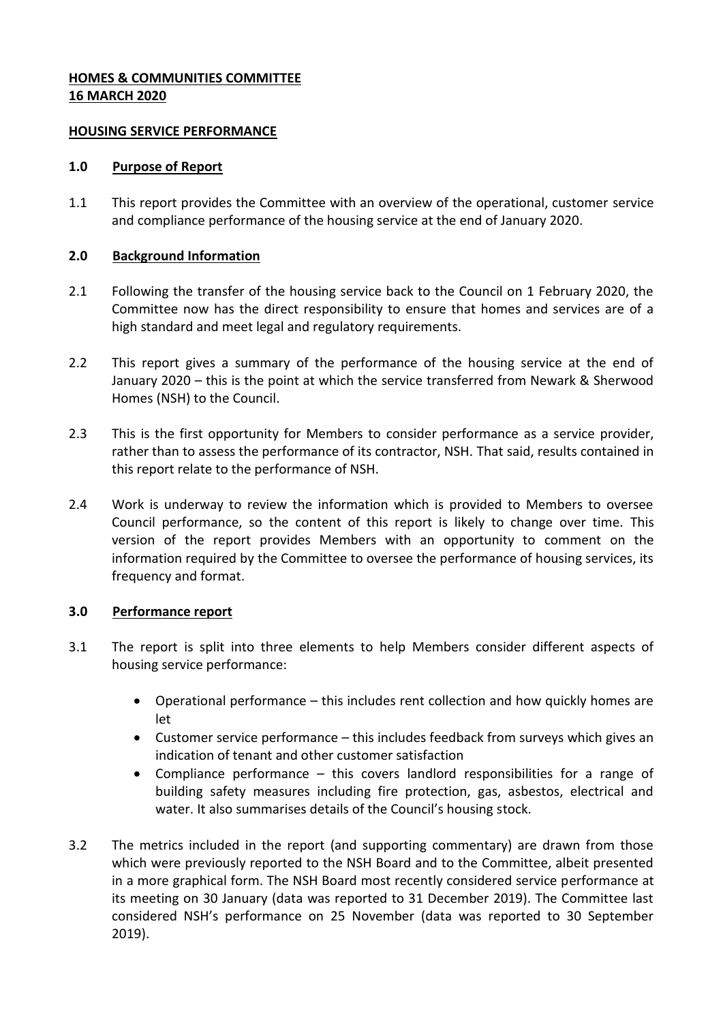#### **HOMES & COMMUNITIES COMMITTEE 16 MARCH 2020**

#### **HOUSING SERVICE PERFORMANCE**

#### **1.0 Purpose of Report**

1.1 This report provides the Committee with an overview of the operational, customer service and compliance performance of the housing service at the end of January 2020.

### **2.0 Background Information**

- 2.1 Following the transfer of the housing service back to the Council on 1 February 2020, the Committee now has the direct responsibility to ensure that homes and services are of a high standard and meet legal and regulatory requirements.
- 2.2 This report gives a summary of the performance of the housing service at the end of January 2020 – this is the point at which the service transferred from Newark & Sherwood Homes (NSH) to the Council.
- 2.3 This is the first opportunity for Members to consider performance as a service provider, rather than to assess the performance of its contractor, NSH. That said, results contained in this report relate to the performance of NSH.
- 2.4 Work is underway to review the information which is provided to Members to oversee Council performance, so the content of this report is likely to change over time. This version of the report provides Members with an opportunity to comment on the information required by the Committee to oversee the performance of housing services, its frequency and format.

## **3.0 Performance report**

- 3.1 The report is split into three elements to help Members consider different aspects of housing service performance:
	- Operational performance this includes rent collection and how quickly homes are let
	- Customer service performance this includes feedback from surveys which gives an indication of tenant and other customer satisfaction
	- Compliance performance this covers landlord responsibilities for a range of building safety measures including fire protection, gas, asbestos, electrical and water. It also summarises details of the Council's housing stock.
- 3.2 The metrics included in the report (and supporting commentary) are drawn from those which were previously reported to the NSH Board and to the Committee, albeit presented in a more graphical form. The NSH Board most recently considered service performance at its meeting on 30 January (data was reported to 31 December 2019). The Committee last considered NSH's performance on 25 November (data was reported to 30 September 2019).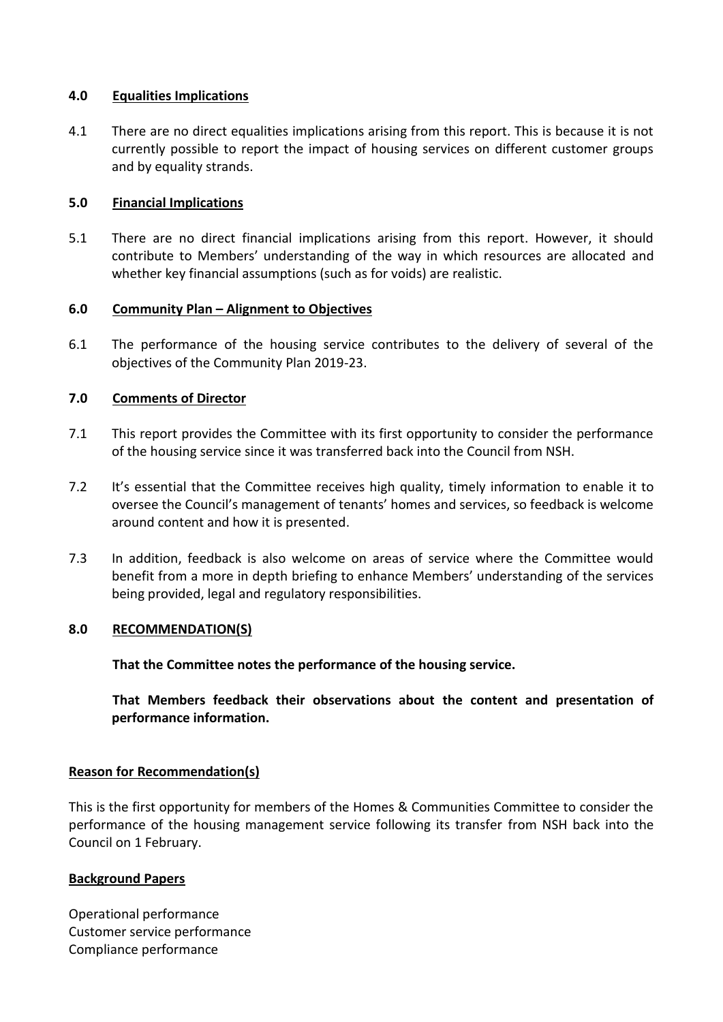#### **4.0 Equalities Implications**

4.1 There are no direct equalities implications arising from this report. This is because it is not currently possible to report the impact of housing services on different customer groups and by equality strands.

### **5.0 Financial Implications**

5.1 There are no direct financial implications arising from this report. However, it should contribute to Members' understanding of the way in which resources are allocated and whether key financial assumptions (such as for voids) are realistic.

### **6.0 Community Plan – Alignment to Objectives**

6.1 The performance of the housing service contributes to the delivery of several of the objectives of the Community Plan 2019-23.

## **7.0 Comments of Director**

- 7.1 This report provides the Committee with its first opportunity to consider the performance of the housing service since it was transferred back into the Council from NSH.
- 7.2 It's essential that the Committee receives high quality, timely information to enable it to oversee the Council's management of tenants' homes and services, so feedback is welcome around content and how it is presented.
- 7.3 In addition, feedback is also welcome on areas of service where the Committee would benefit from a more in depth briefing to enhance Members' understanding of the services being provided, legal and regulatory responsibilities.

## **8.0 RECOMMENDATION(S)**

**That the Committee notes the performance of the housing service.**

**That Members feedback their observations about the content and presentation of performance information.**

#### **Reason for Recommendation(s)**

This is the first opportunity for members of the Homes & Communities Committee to consider the performance of the housing management service following its transfer from NSH back into the Council on 1 February.

#### **Background Papers**

Operational performance Customer service performance Compliance performance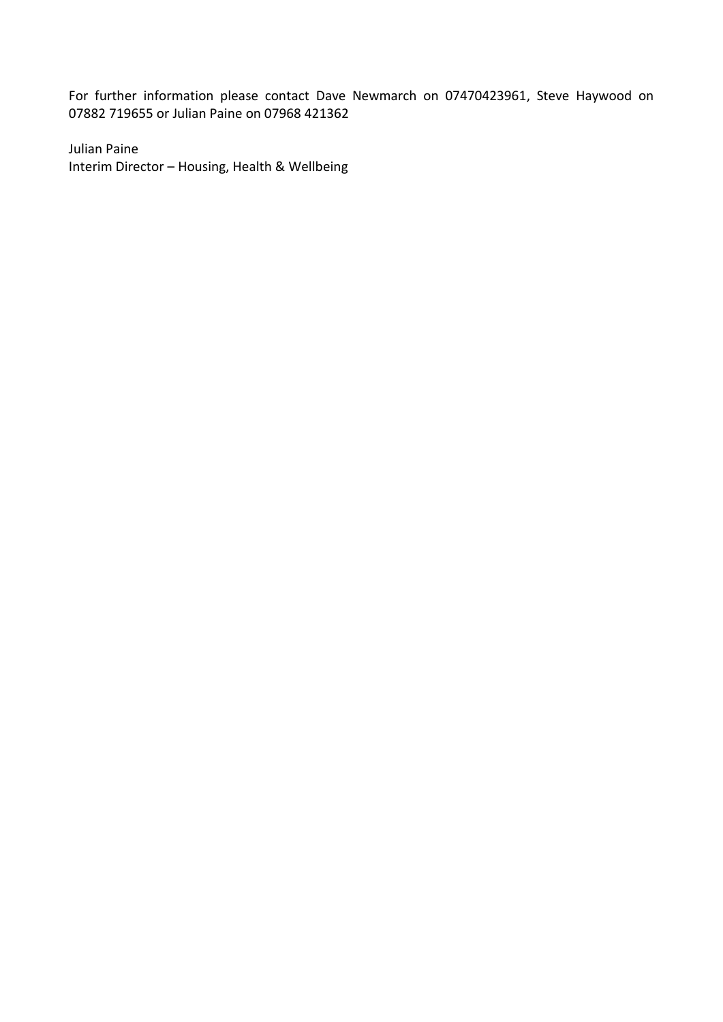For further information please contact Dave Newmarch on 07470423961, Steve Haywood on 07882 719655 or Julian Paine on 07968 421362

Julian Paine Interim Director – Housing, Health & Wellbeing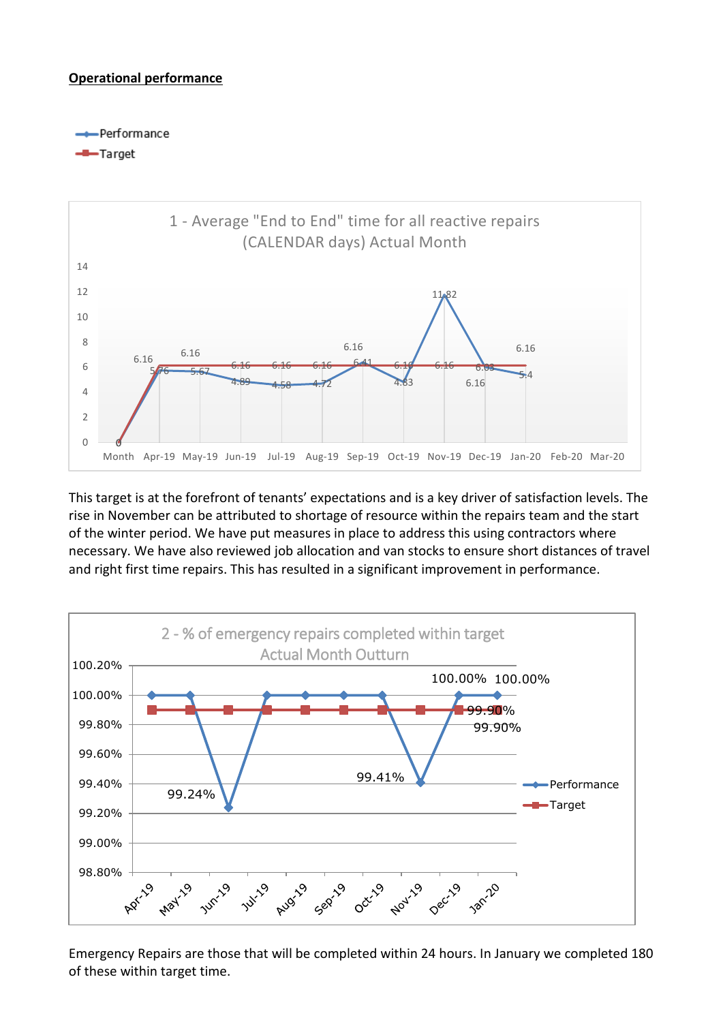### **Operational performance**

- Performance

#### -B-Target



This target is at the forefront of tenants' expectations and is a key driver of satisfaction levels. The rise in November can be attributed to shortage of resource within the repairs team and the start of the winter period. We have put measures in place to address this using contractors where necessary. We have also reviewed job allocation and van stocks to ensure short distances of travel and right first time repairs. This has resulted in a significant improvement in performance.



Emergency Repairs are those that will be completed within 24 hours. In January we completed 180 of these within target time.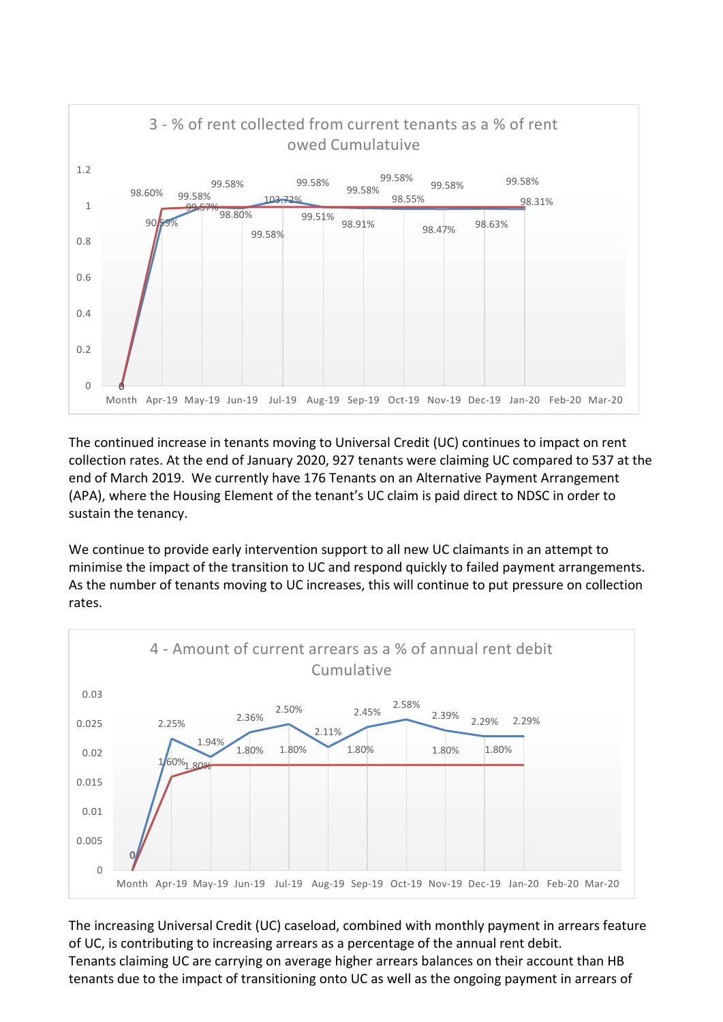

The continued increase in tenants moving to Universal Credit (UC) continues to impact on rent collection rates. At the end of January 2020, 927 tenants were claiming UC compared to 537 at the end of March 2019. We currently have 176 Tenants on an Alternative Payment Arrangement (APA), where the Housing Element of the tenant's UC claim is paid direct to NDSC in order to sustain the tenancy.

We continue to provide early intervention support to all new UC claimants in an attempt to minimise the impact of the transition to UC and respond quickly to failed payment arrangements. As the number of tenants moving to UC increases, this will continue to put pressure on collection rates.



The increasing Universal Credit (UC) caseload, combined with monthly payment in arrears feature of UC, is contributing to increasing arrears as a percentage of the annual rent debit. Tenants claiming UC are carrying on average higher arrears balances on their account than HB tenants due to the impact of transitioning onto UC as well as the ongoing payment in arrears of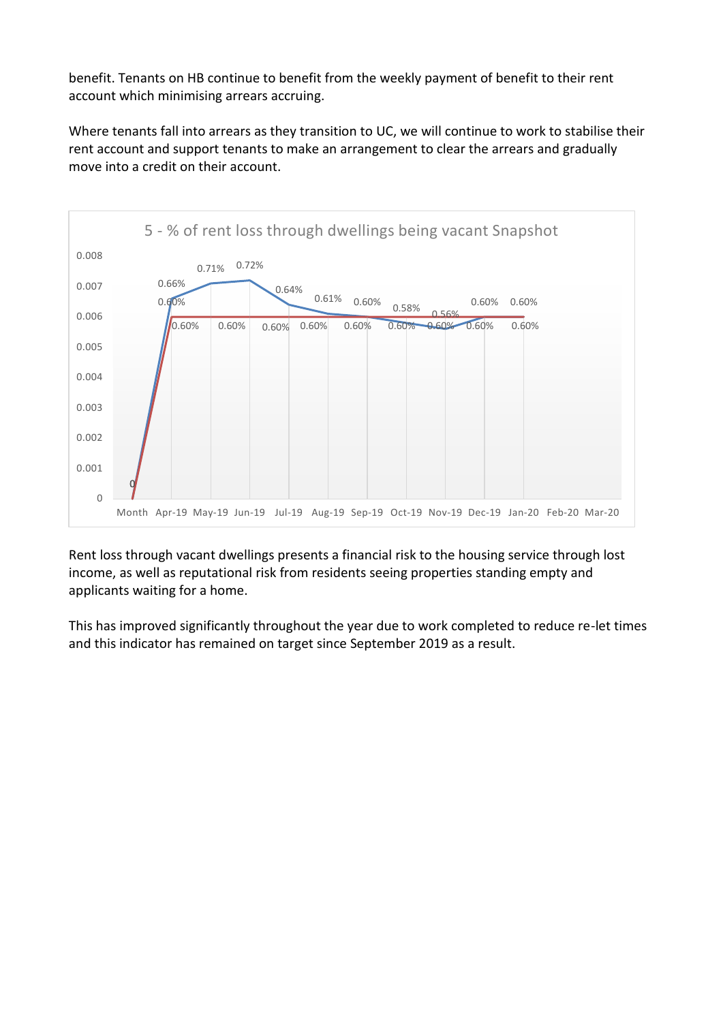benefit. Tenants on HB continue to benefit from the weekly payment of benefit to their rent account which minimising arrears accruing.

Where tenants fall into arrears as they transition to UC, we will continue to work to stabilise their rent account and support tenants to make an arrangement to clear the arrears and gradually move into a credit on their account.



Rent loss through vacant dwellings presents a financial risk to the housing service through lost income, as well as reputational risk from residents seeing properties standing empty and applicants waiting for a home.

This has improved significantly throughout the year due to work completed to reduce re-let times and this indicator has remained on target since September 2019 as a result.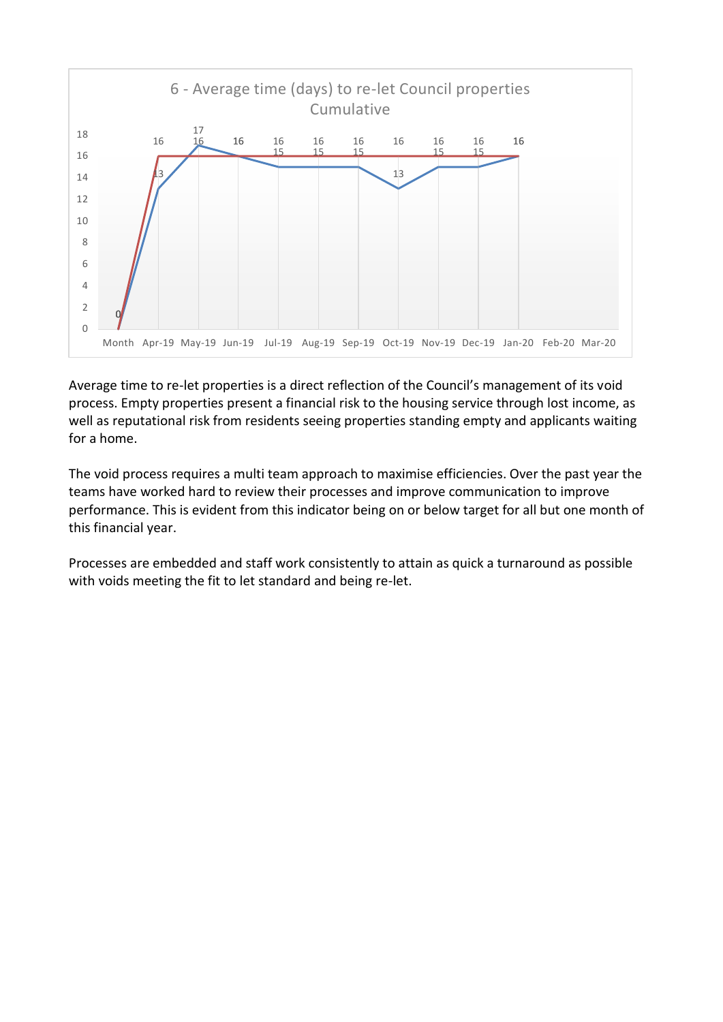

Average time to re-let properties is a direct reflection of the Council's management of its void process. Empty properties present a financial risk to the housing service through lost income, as well as reputational risk from residents seeing properties standing empty and applicants waiting for a home.

The void process requires a multi team approach to maximise efficiencies. Over the past year the teams have worked hard to review their processes and improve communication to improve performance. This is evident from this indicator being on or below target for all but one month of this financial year.

Processes are embedded and staff work consistently to attain as quick a turnaround as possible with voids meeting the fit to let standard and being re-let.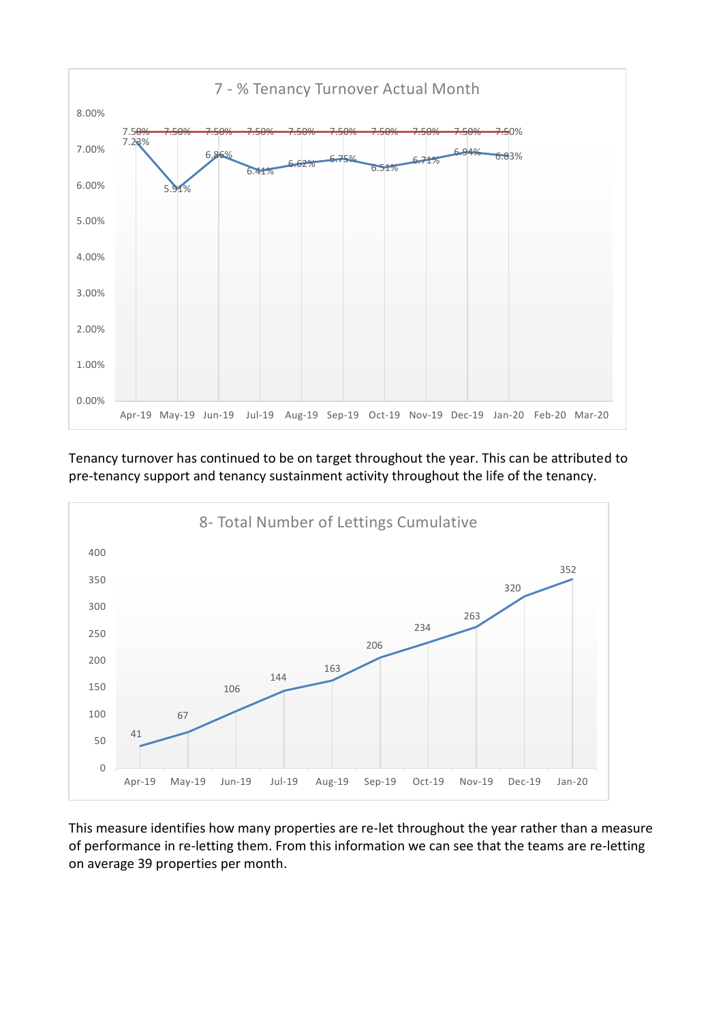

Tenancy turnover has continued to be on target throughout the year. This can be attributed to pre-tenancy support and tenancy sustainment activity throughout the life of the tenancy.



This measure identifies how many properties are re-let throughout the year rather than a measure of performance in re-letting them. From this information we can see that the teams are re-letting on average 39 properties per month.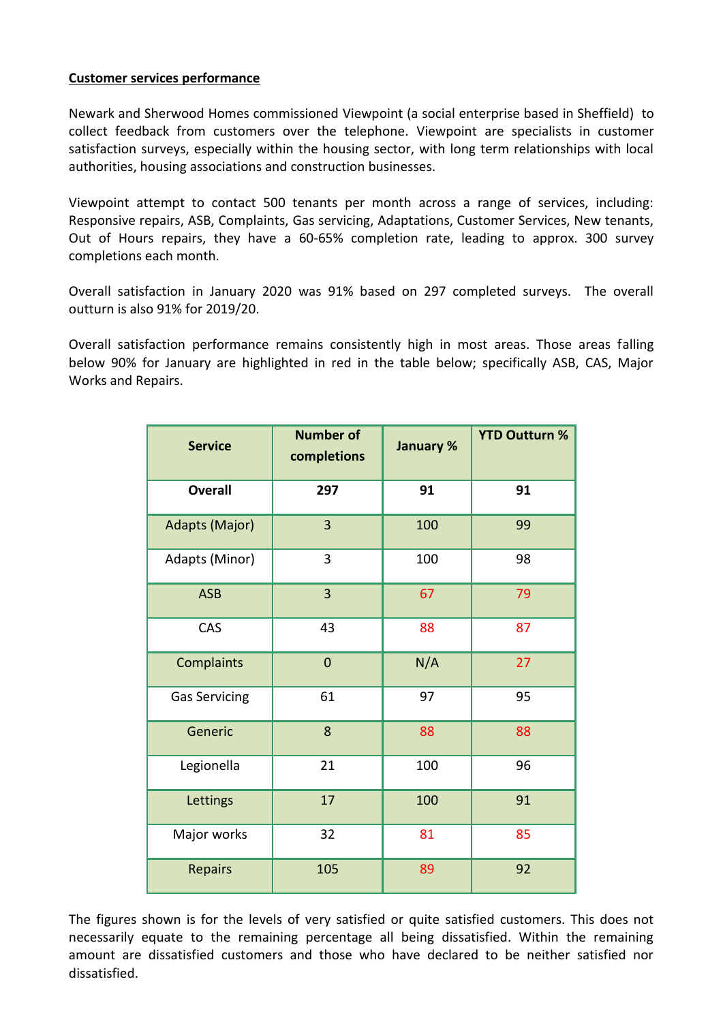#### **Customer services performance**

Newark and Sherwood Homes commissioned Viewpoint (a social enterprise based in Sheffield) to collect feedback from customers over the telephone. Viewpoint are specialists in customer satisfaction surveys, especially within the housing sector, with long term relationships with local authorities, housing associations and construction businesses.

Viewpoint attempt to contact 500 tenants per month across a range of services, including: Responsive repairs, ASB, Complaints, Gas servicing, Adaptations, Customer Services, New tenants, Out of Hours repairs, they have a 60-65% completion rate, leading to approx. 300 survey completions each month.

Overall satisfaction in January 2020 was 91% based on 297 completed surveys. The overall outturn is also 91% for 2019/20.

Overall satisfaction performance remains consistently high in most areas. Those areas falling below 90% for January are highlighted in red in the table below; specifically ASB, CAS, Major Works and Repairs.

| <b>Service</b>       | <b>Number of</b><br>completions | <b>January %</b> | <b>YTD Outturn %</b> |
|----------------------|---------------------------------|------------------|----------------------|
| <b>Overall</b>       | 297                             | 91               | 91                   |
| Adapts (Major)       | 3                               | 100              | 99                   |
| Adapts (Minor)       | 3                               | 100              | 98                   |
| <b>ASB</b>           | 3                               | 67               | 79                   |
| CAS                  | 43                              | 88               | 87                   |
| Complaints           | $\overline{0}$                  | N/A              | 27                   |
| <b>Gas Servicing</b> | 61                              | 97               | 95                   |
| Generic              | 8                               | 88               | 88                   |
| Legionella           | 21                              | 100              | 96                   |
| Lettings             | 17                              | 100              | 91                   |
| Major works          | 32                              | 81               | 85                   |
| <b>Repairs</b>       | 105                             | 89               | 92                   |

The figures shown is for the levels of very satisfied or quite satisfied customers. This does not necessarily equate to the remaining percentage all being dissatisfied. Within the remaining amount are dissatisfied customers and those who have declared to be neither satisfied nor dissatisfied.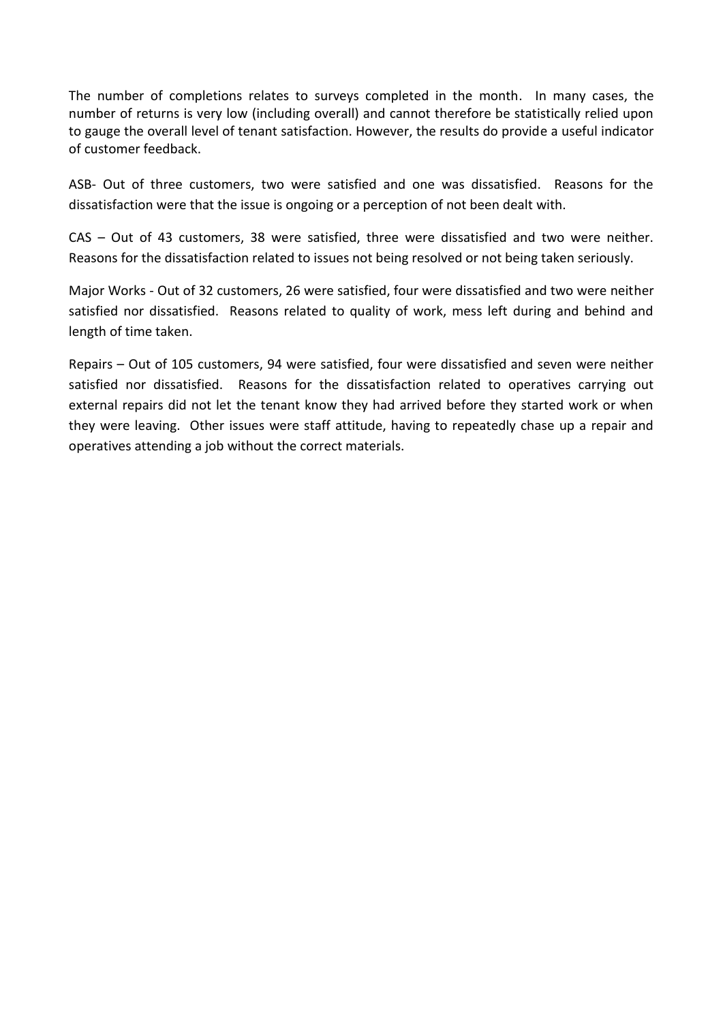The number of completions relates to surveys completed in the month. In many cases, the number of returns is very low (including overall) and cannot therefore be statistically relied upon to gauge the overall level of tenant satisfaction. However, the results do provide a useful indicator of customer feedback.

ASB- Out of three customers, two were satisfied and one was dissatisfied. Reasons for the dissatisfaction were that the issue is ongoing or a perception of not been dealt with.

CAS – Out of 43 customers, 38 were satisfied, three were dissatisfied and two were neither. Reasons for the dissatisfaction related to issues not being resolved or not being taken seriously.

Major Works - Out of 32 customers, 26 were satisfied, four were dissatisfied and two were neither satisfied nor dissatisfied. Reasons related to quality of work, mess left during and behind and length of time taken.

Repairs – Out of 105 customers, 94 were satisfied, four were dissatisfied and seven were neither satisfied nor dissatisfied. Reasons for the dissatisfaction related to operatives carrying out external repairs did not let the tenant know they had arrived before they started work or when they were leaving. Other issues were staff attitude, having to repeatedly chase up a repair and operatives attending a job without the correct materials.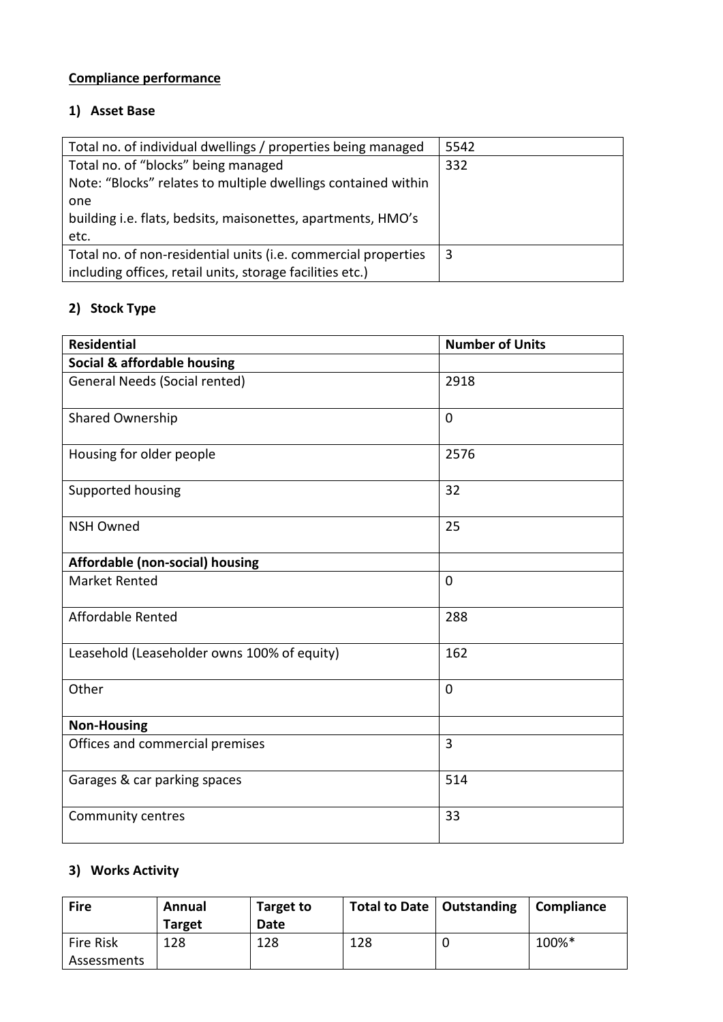# **Compliance performance**

## **1) Asset Base**

| Total no. of individual dwellings / properties being managed   | 5542 |
|----------------------------------------------------------------|------|
| Total no. of "blocks" being managed                            | 332  |
| Note: "Blocks" relates to multiple dwellings contained within  |      |
| one                                                            |      |
| building i.e. flats, bedsits, maisonettes, apartments, HMO's   |      |
| etc.                                                           |      |
| Total no. of non-residential units (i.e. commercial properties | 3    |
| including offices, retail units, storage facilities etc.)      |      |

# **2) Stock Type**

| <b>Residential</b>                          | <b>Number of Units</b> |
|---------------------------------------------|------------------------|
| Social & affordable housing                 |                        |
| <b>General Needs (Social rented)</b>        | 2918                   |
| Shared Ownership                            | $\mathbf 0$            |
| Housing for older people                    | 2576                   |
| Supported housing                           | 32                     |
| <b>NSH Owned</b>                            | 25                     |
| Affordable (non-social) housing             |                        |
| <b>Market Rented</b>                        | $\mathbf 0$            |
| <b>Affordable Rented</b>                    | 288                    |
| Leasehold (Leaseholder owns 100% of equity) | 162                    |
| Other                                       | $\mathbf 0$            |
| <b>Non-Housing</b>                          |                        |
| Offices and commercial premises             | 3                      |
| Garages & car parking spaces                | 514                    |
| Community centres                           | 33                     |

## **3) Works Activity**

| <b>Fire</b>                     | Annual<br><b>Target</b> | Target to<br>Date | Total to Date   Outstanding | Compliance |
|---------------------------------|-------------------------|-------------------|-----------------------------|------------|
| <b>Fire Risk</b><br>Assessments | 128                     | 128               | 128                         | 100%*      |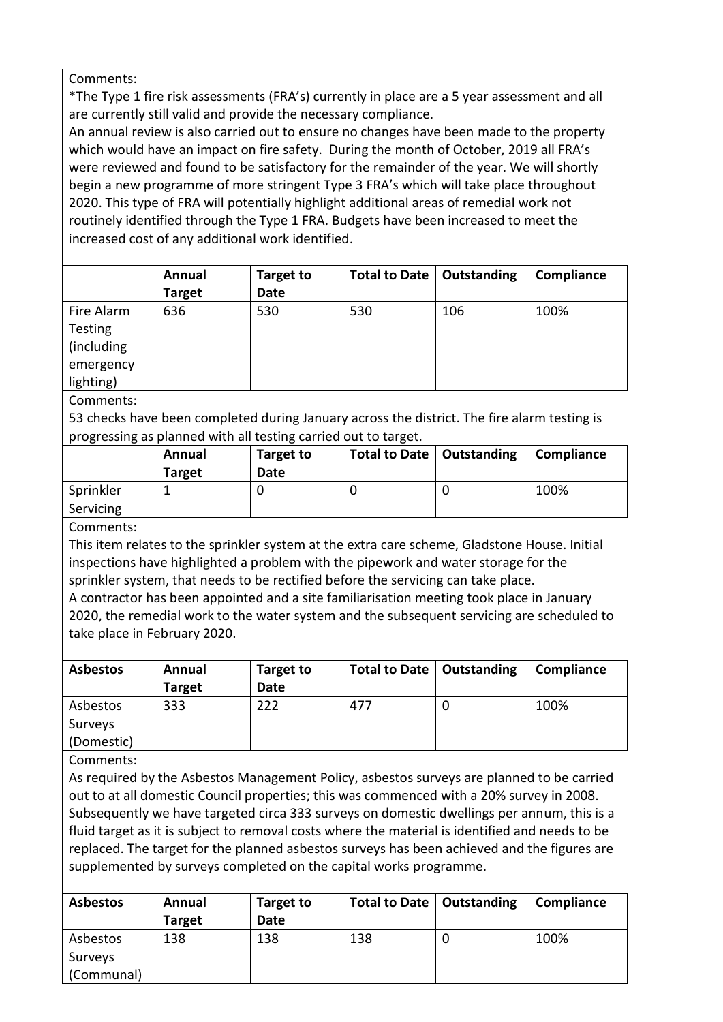Comments:

\*The Type 1 fire risk assessments (FRA's) currently in place are a 5 year assessment and all are currently still valid and provide the necessary compliance.

An annual review is also carried out to ensure no changes have been made to the property which would have an impact on fire safety. During the month of October, 2019 all FRA's were reviewed and found to be satisfactory for the remainder of the year. We will shortly begin a new programme of more stringent Type 3 FRA's which will take place throughout 2020. This type of FRA will potentially highlight additional areas of remedial work not routinely identified through the Type 1 FRA. Budgets have been increased to meet the increased cost of any additional work identified.

|                | Annual        | Target to   | Total to Date | Outstanding | Compliance |
|----------------|---------------|-------------|---------------|-------------|------------|
|                | <b>Target</b> | <b>Date</b> |               |             |            |
| Fire Alarm     | 636           | 530         | 530           | 106         | 100%       |
| <b>Testing</b> |               |             |               |             |            |
| (including     |               |             |               |             |            |
| emergency      |               |             |               |             |            |
| lighting)      |               |             |               |             |            |

Comments:

53 checks have been completed during January across the district. The fire alarm testing is progressing as planned with all testing carried out to target.

| . .<br>. .             |                         |                   |                             |            |
|------------------------|-------------------------|-------------------|-----------------------------|------------|
|                        | Annual<br><b>Target</b> | Target to<br>Date | Total to Date   Outstanding | Compliance |
| Sprinkler<br>Servicing |                         |                   |                             | 100%       |
|                        |                         |                   |                             |            |

Comments:

This item relates to the sprinkler system at the extra care scheme, Gladstone House. Initial inspections have highlighted a problem with the pipework and water storage for the sprinkler system, that needs to be rectified before the servicing can take place.

A contractor has been appointed and a site familiarisation meeting took place in January 2020, the remedial work to the water system and the subsequent servicing are scheduled to take place in February 2020.

| <b>Asbestos</b> | Annual<br><b>Target</b> | Target to<br>Date | Total to Date   Outstanding | Compliance |
|-----------------|-------------------------|-------------------|-----------------------------|------------|
| Asbestos        | 333                     | 222               | 477                         | 100%       |
| Surveys         |                         |                   |                             |            |
| (Domestic)      |                         |                   |                             |            |

Comments:

As required by the Asbestos Management Policy, asbestos surveys are planned to be carried out to at all domestic Council properties; this was commenced with a 20% survey in 2008. Subsequently we have targeted circa 333 surveys on domestic dwellings per annum, this is a fluid target as it is subject to removal costs where the material is identified and needs to be replaced. The target for the planned asbestos surveys has been achieved and the figures are supplemented by surveys completed on the capital works programme.

| <b>Asbestos</b> | Annual<br><b>Target</b> | <b>Target to</b><br>Date | Total to Date   Outstanding |   | Compliance |
|-----------------|-------------------------|--------------------------|-----------------------------|---|------------|
| Asbestos        | 138                     | 138                      | 138                         | U | 100%       |
| Surveys         |                         |                          |                             |   |            |
| (Communal)      |                         |                          |                             |   |            |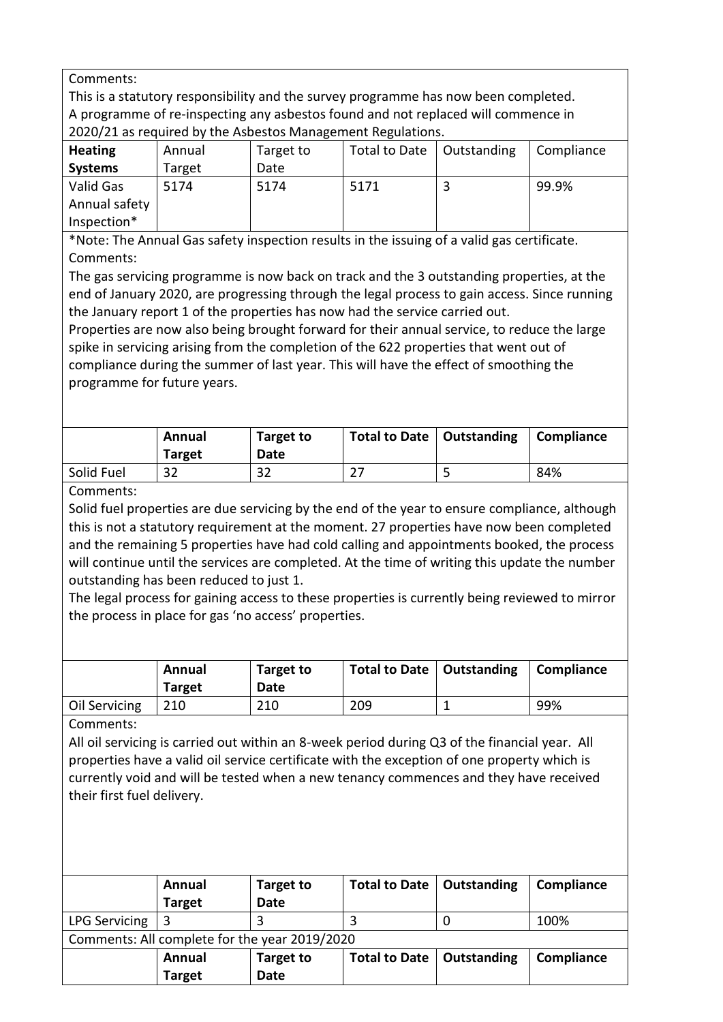Comments:

This is a statutory responsibility and the survey programme has now been completed. A programme of re-inspecting any asbestos found and not replaced will commence in 2020/21 as required by the Asbestos Management Regulations.

| <b>Heating</b> | Annual | Target to | Total to Date | Outstanding | Compliance |
|----------------|--------|-----------|---------------|-------------|------------|
| <b>Systems</b> | Target | Date      |               |             |            |
| Valid Gas      | 5174   | 5174      | 5171          |             | 99.9%      |
| Annual safety  |        |           |               |             |            |
| Inspection*    |        |           |               |             |            |

\*Note: The Annual Gas safety inspection results in the issuing of a valid gas certificate. Comments:

The gas servicing programme is now back on track and the 3 outstanding properties, at the end of January 2020, are progressing through the legal process to gain access. Since running the January report 1 of the properties has now had the service carried out.

Properties are now also being brought forward for their annual service, to reduce the large spike in servicing arising from the completion of the 622 properties that went out of compliance during the summer of last year. This will have the effect of smoothing the programme for future years.

|            | Annual<br><b>Target</b> | Target to<br>Date | Total to Date   Outstanding | Compliance |
|------------|-------------------------|-------------------|-----------------------------|------------|
| Solid Fuel | 32                      | 32                | $\mathcal L$ .              | 84%        |

Comments:

Solid fuel properties are due servicing by the end of the year to ensure compliance, although this is not a statutory requirement at the moment. 27 properties have now been completed and the remaining 5 properties have had cold calling and appointments booked, the process will continue until the services are completed. At the time of writing this update the number outstanding has been reduced to just 1.

The legal process for gaining access to these properties is currently being reviewed to mirror the process in place for gas 'no access' properties.

|               | Annual<br><b>Target</b> | Target to<br>Date | Total to Date   Outstanding | Compliance |
|---------------|-------------------------|-------------------|-----------------------------|------------|
| Oil Servicing | 210                     | 210               | 209                         | 99%        |

Comments:

All oil servicing is carried out within an 8-week period during Q3 of the financial year. All properties have a valid oil service certificate with the exception of one property which is currently void and will be tested when a new tenancy commences and they have received their first fuel delivery.

|                                               | Annual<br><b>Target</b> | Target to<br>Date | Total to Date   Outstanding |  | Compliance |
|-----------------------------------------------|-------------------------|-------------------|-----------------------------|--|------------|
| LPG Servicing                                 |                         |                   |                             |  | 100%       |
| Campagnes, All camplete fauths uses 2010/2020 |                         |                   |                             |  |            |

Comments: All complete for the year 2019/2020

| Annual        | <b>Target to</b> | Total to Date   Outstanding | Compliance |
|---------------|------------------|-----------------------------|------------|
| <b>Target</b> | <b>Date</b>      |                             |            |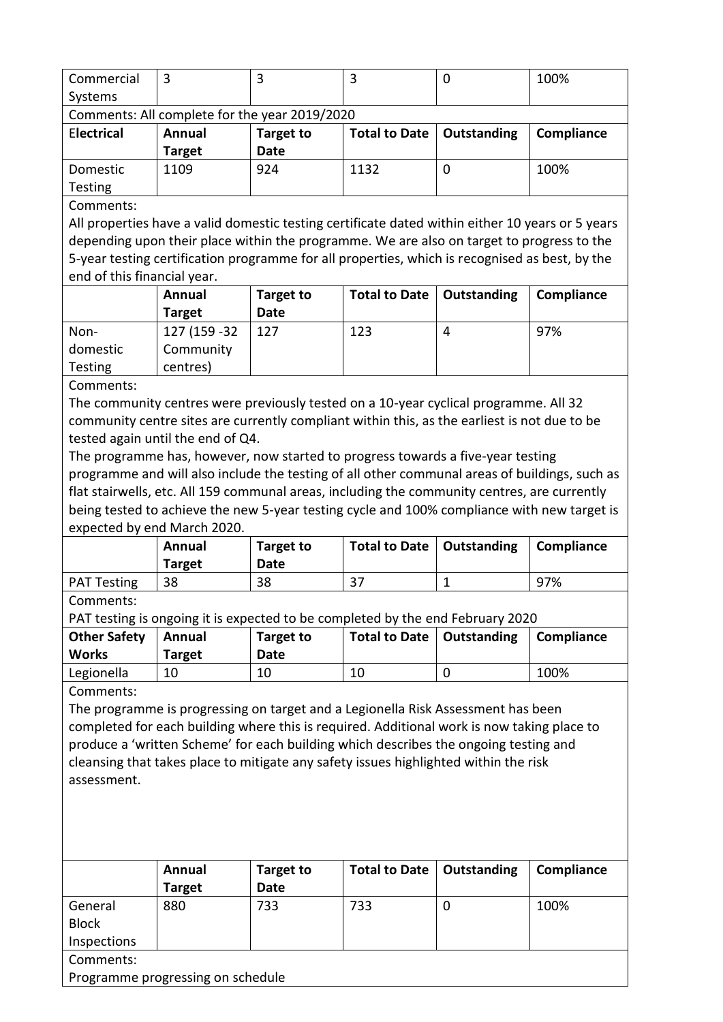| Commercial        |                                               |                  |                             | 100%       |
|-------------------|-----------------------------------------------|------------------|-----------------------------|------------|
| Systems           |                                               |                  |                             |            |
|                   | Comments: All complete for the year 2019/2020 |                  |                             |            |
|                   |                                               |                  |                             |            |
| <b>Electrical</b> | Annual                                        | <b>Target to</b> | Total to Date   Outstanding | Compliance |
|                   | <b>Target</b>                                 | Date             |                             |            |

Testing Comments:

All properties have a valid domestic testing certificate dated within either 10 years or 5 years depending upon their place within the programme. We are also on target to progress to the 5-year testing certification programme for all properties, which is recognised as best, by the end of this financial year.

|                | Annual<br>Target | Target to<br>Date | Total to Date   Outstanding |   | Compliance |
|----------------|------------------|-------------------|-----------------------------|---|------------|
| Non-           | 127 (159 - 32    | 127               | 123                         | 4 | 97%        |
| domestic       | Community        |                   |                             |   |            |
| <b>Testing</b> | centres)         |                   |                             |   |            |

Comments:

The community centres were previously tested on a 10-year cyclical programme. All 32 community centre sites are currently compliant within this, as the earliest is not due to be tested again until the end of Q4.

The programme has, however, now started to progress towards a five-year testing programme and will also include the testing of all other communal areas of buildings, such as flat stairwells, etc. All 159 communal areas, including the community centres, are currently being tested to achieve the new 5-year testing cycle and 100% compliance with new target is expected by end March 2020.

|                    | Annual<br><b>Target</b> | <b>Target to</b><br>Date | Total to Date   Outstanding | Compliance |
|--------------------|-------------------------|--------------------------|-----------------------------|------------|
| <b>PAT Testing</b> | 38                      | 38                       | 37                          | 97%        |

Comments:

PAT testing is ongoing it is expected to be completed by the end February 2020

| <b>Other Safety</b><br><b>Works</b> | Annual<br><b>Target</b> | Target to<br>Date | Total to Date   Outstanding | Compliance |
|-------------------------------------|-------------------------|-------------------|-----------------------------|------------|
| Legionella                          | 10                      | 10                | 10                          | 100%       |

Comments:

The programme is progressing on target and a Legionella Risk Assessment has been completed for each building where this is required. Additional work is now taking place to produce a 'written Scheme' for each building which describes the ongoing testing and cleansing that takes place to mitigate any safety issues highlighted within the risk assessment.

|              | Annual        | <b>Target to</b>                  | <b>Total to Date</b> | Outstanding | Compliance |  |  |  |
|--------------|---------------|-----------------------------------|----------------------|-------------|------------|--|--|--|
|              | <b>Target</b> | Date                              |                      |             |            |  |  |  |
| General      | 880           | 733                               | 733                  |             | 100%       |  |  |  |
| <b>Block</b> |               |                                   |                      |             |            |  |  |  |
| Inspections  |               |                                   |                      |             |            |  |  |  |
| Comments:    |               |                                   |                      |             |            |  |  |  |
|              |               | Programme progressing on schedule |                      |             |            |  |  |  |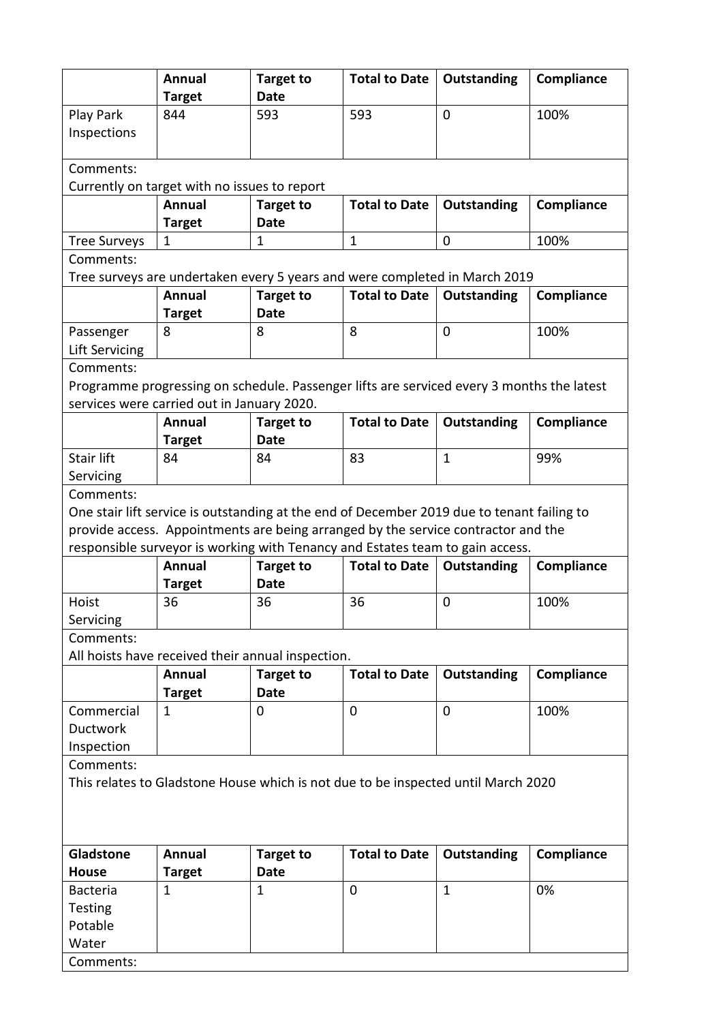|                                                                                            | Annual                                            | <b>Target to</b>                                                                  | <b>Total to Date</b>                                                                               | Outstanding        | Compliance |  |  |  |  |
|--------------------------------------------------------------------------------------------|---------------------------------------------------|-----------------------------------------------------------------------------------|----------------------------------------------------------------------------------------------------|--------------------|------------|--|--|--|--|
|                                                                                            | <b>Target</b>                                     | Date                                                                              |                                                                                                    |                    |            |  |  |  |  |
| Play Park                                                                                  | 844                                               | 593                                                                               | 593                                                                                                | $\Omega$           | 100%       |  |  |  |  |
| Inspections                                                                                |                                                   |                                                                                   |                                                                                                    |                    |            |  |  |  |  |
|                                                                                            |                                                   |                                                                                   |                                                                                                    |                    |            |  |  |  |  |
| Comments:                                                                                  |                                                   |                                                                                   |                                                                                                    |                    |            |  |  |  |  |
|                                                                                            | Currently on target with no issues to report      |                                                                                   |                                                                                                    |                    |            |  |  |  |  |
|                                                                                            | <b>Annual</b>                                     | <b>Target to</b>                                                                  | <b>Total to Date</b>                                                                               | Outstanding        | Compliance |  |  |  |  |
|                                                                                            | <b>Target</b>                                     | Date                                                                              |                                                                                                    |                    |            |  |  |  |  |
| <b>Tree Surveys</b>                                                                        | $\mathbf{1}$                                      | 1                                                                                 | $\mathbf{1}$                                                                                       | $\mathbf 0$        | 100%       |  |  |  |  |
| Comments:                                                                                  |                                                   |                                                                                   |                                                                                                    |                    |            |  |  |  |  |
|                                                                                            | Annual                                            |                                                                                   | Tree surveys are undertaken every 5 years and were completed in March 2019<br><b>Total to Date</b> | <b>Outstanding</b> | Compliance |  |  |  |  |
|                                                                                            | <b>Target</b>                                     | <b>Target to</b><br><b>Date</b>                                                   |                                                                                                    |                    |            |  |  |  |  |
| Passenger                                                                                  | 8                                                 | 8                                                                                 | 8                                                                                                  | $\overline{0}$     | 100%       |  |  |  |  |
| Lift Servicing                                                                             |                                                   |                                                                                   |                                                                                                    |                    |            |  |  |  |  |
| Comments:                                                                                  |                                                   |                                                                                   |                                                                                                    |                    |            |  |  |  |  |
|                                                                                            |                                                   |                                                                                   | Programme progressing on schedule. Passenger lifts are serviced every 3 months the latest          |                    |            |  |  |  |  |
|                                                                                            | services were carried out in January 2020.        |                                                                                   |                                                                                                    |                    |            |  |  |  |  |
|                                                                                            | <b>Annual</b>                                     | <b>Target to</b>                                                                  | <b>Total to Date</b>                                                                               | Outstanding        | Compliance |  |  |  |  |
|                                                                                            | <b>Target</b>                                     | <b>Date</b>                                                                       |                                                                                                    |                    |            |  |  |  |  |
| <b>Stair lift</b>                                                                          | 84                                                | 84                                                                                | 83                                                                                                 | $\mathbf{1}$       | 99%        |  |  |  |  |
| Servicing                                                                                  |                                                   |                                                                                   |                                                                                                    |                    |            |  |  |  |  |
| Comments:                                                                                  |                                                   |                                                                                   |                                                                                                    |                    |            |  |  |  |  |
| One stair lift service is outstanding at the end of December 2019 due to tenant failing to |                                                   |                                                                                   |                                                                                                    |                    |            |  |  |  |  |
|                                                                                            |                                                   | provide access. Appointments are being arranged by the service contractor and the |                                                                                                    |                    |            |  |  |  |  |
|                                                                                            |                                                   |                                                                                   |                                                                                                    |                    |            |  |  |  |  |
|                                                                                            |                                                   |                                                                                   | responsible surveyor is working with Tenancy and Estates team to gain access.                      |                    |            |  |  |  |  |
|                                                                                            | Annual                                            | <b>Target to</b>                                                                  | <b>Total to Date</b>                                                                               | Outstanding        | Compliance |  |  |  |  |
|                                                                                            | <b>Target</b>                                     | <b>Date</b>                                                                       |                                                                                                    |                    |            |  |  |  |  |
| Hoist                                                                                      | 36                                                | 36                                                                                | 36                                                                                                 | $\mathbf 0$        | 100%       |  |  |  |  |
| Servicing                                                                                  |                                                   |                                                                                   |                                                                                                    |                    |            |  |  |  |  |
| Comments:                                                                                  |                                                   |                                                                                   |                                                                                                    |                    |            |  |  |  |  |
|                                                                                            | All hoists have received their annual inspection. |                                                                                   |                                                                                                    |                    |            |  |  |  |  |
|                                                                                            | <b>Annual</b>                                     | <b>Target to</b><br><b>Date</b>                                                   | <b>Total to Date</b>                                                                               | Outstanding        | Compliance |  |  |  |  |
| Commercial                                                                                 | <b>Target</b><br>$\mathbf{1}$                     | 0                                                                                 | 0                                                                                                  | 0                  | 100%       |  |  |  |  |
| <b>Ductwork</b>                                                                            |                                                   |                                                                                   |                                                                                                    |                    |            |  |  |  |  |
| Inspection                                                                                 |                                                   |                                                                                   |                                                                                                    |                    |            |  |  |  |  |
| Comments:                                                                                  |                                                   |                                                                                   |                                                                                                    |                    |            |  |  |  |  |
|                                                                                            |                                                   |                                                                                   | This relates to Gladstone House which is not due to be inspected until March 2020                  |                    |            |  |  |  |  |
|                                                                                            |                                                   |                                                                                   |                                                                                                    |                    |            |  |  |  |  |
|                                                                                            |                                                   |                                                                                   |                                                                                                    |                    |            |  |  |  |  |
|                                                                                            |                                                   |                                                                                   |                                                                                                    |                    |            |  |  |  |  |
| Gladstone                                                                                  | <b>Annual</b>                                     | <b>Target to</b>                                                                  | <b>Total to Date</b>                                                                               | Outstanding        | Compliance |  |  |  |  |
| <b>House</b>                                                                               | <b>Target</b><br>$\mathbf{1}$                     | Date                                                                              |                                                                                                    | $\mathbf{1}$       |            |  |  |  |  |
| <b>Bacteria</b>                                                                            |                                                   | 1                                                                                 | 0                                                                                                  |                    | 0%         |  |  |  |  |
| Testing<br>Potable                                                                         |                                                   |                                                                                   |                                                                                                    |                    |            |  |  |  |  |
| Water                                                                                      |                                                   |                                                                                   |                                                                                                    |                    |            |  |  |  |  |
| Comments:                                                                                  |                                                   |                                                                                   |                                                                                                    |                    |            |  |  |  |  |